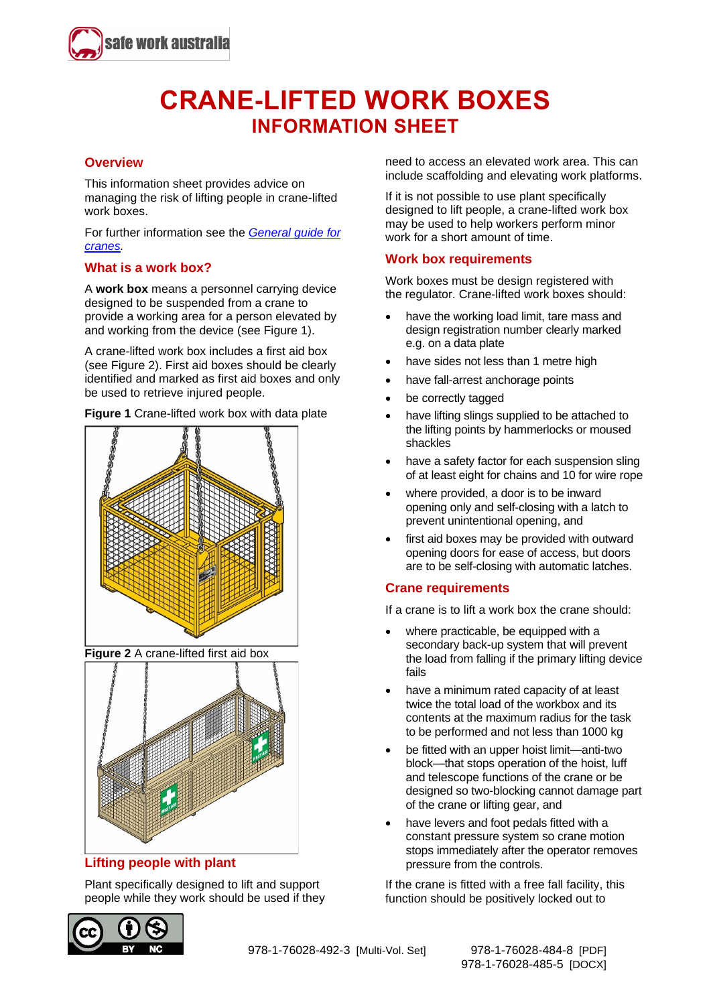

# **CRANE-LIFTED WORK BOXES INFORMATION SHEET**

#### **Overview**

This information sheet provides advice on managing the risk of lifting people in crane-lifted work boxes.

For further information see the *[General guide for](http://www.safeworkaustralia.gov.au/resources-and-publications/guidance-materials/general-guide-cranes) [cranes.](http://www.safeworkaustralia.gov.au/resources-and-publications/guidance-materials/general-guide-cranes)*

#### **What is a work box?**

A **work box** means a personnel carrying device designed to be suspended from a crane to provide a working area for a person elevated by and working from the device (see Figure 1).

A crane-lifted work box includes a first aid box (see Figure 2). First aid boxes should be clearly identified and marked as first aid boxes and only be used to retrieve injured people.

**Figure 1** Crane-lifted work box with data plate



**Figure 2** A crane-lifted first aid box



## **Lifting people with plant**

Plant specifically designed to lift and support people while they work should be used if they



need to access an elevated work area. This can include scaffolding and elevating work platforms.

If it is not possible to use plant specifically designed to lift people, a crane-lifted work box may be used to help workers perform minor work for a short amount of time.

#### **Work box requirements**

Work boxes must be design registered with the regulator. Crane-lifted work boxes should:

- have the working load limit, tare mass and design registration number clearly marked e.g. on a data plate
- have sides not less than 1 metre high
- have fall-arrest anchorage points
- be correctly tagged
- have lifting slings supplied to be attached to the lifting points by hammerlocks or moused shackles
- have a safety factor for each suspension sling of at least eight for chains and 10 for wire rope
- where provided, a door is to be inward opening only and self-closing with a latch to prevent unintentional opening, and
- first aid boxes may be provided with outward opening doors for ease of access, but doors are to be self-closing with automatic latches.

#### **Crane requirements**

If a crane is to lift a work box the crane should:

- where practicable, be equipped with a secondary back-up system that will prevent the load from falling if the primary lifting device fails
- have a minimum rated capacity of at least twice the total load of the workbox and its contents at the maximum radius for the task to be performed and not less than 1000 kg
- be fitted with an upper hoist limit—anti-two block—that stops operation of the hoist, luff and telescope functions of the crane or be designed so two-blocking cannot damage part of the crane or lifting gear, and
- have levers and foot pedals fitted with a constant pressure system so crane motion stops immediately after the operator removes pressure from the controls.

If the crane is fitted with a free fall facility, this function should be positively locked out to